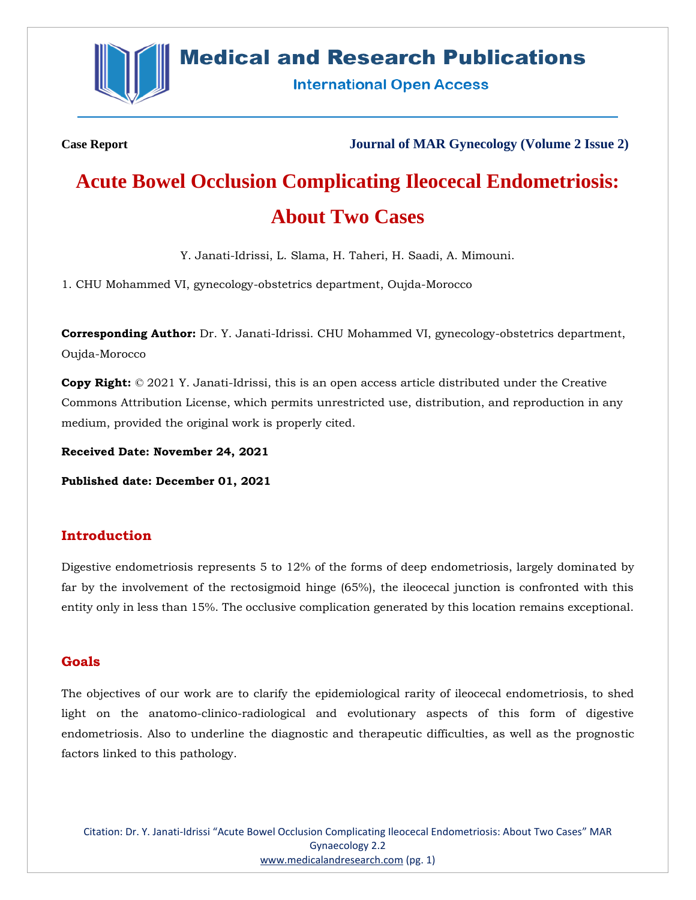

# **Medical and Research Publications**

**International Open Access** 

**Case Report Journal of MAR Gynecology (Volume 2 Issue 2)**

# **Acute Bowel Occlusion Complicating Ileocecal Endometriosis: About Two Cases**

Y. Janati-Idrissi, L. Slama, H. Taheri, H. Saadi, A. Mimouni.

1. CHU Mohammed VI, gynecology-obstetrics department, Oujda-Morocco

**Corresponding Author:** Dr. Y. Janati-Idrissi. CHU Mohammed VI, gynecology-obstetrics department, Oujda-Morocco

**Copy Right:** © 2021 Y. Janati-Idrissi, this is an open access article distributed under the Creative Commons Attribution License, which permits unrestricted use, distribution, and reproduction in any medium, provided the original work is properly cited.

**Received Date: November 24, 2021**

**Published date: December 01, 2021**

# **Introduction**

Digestive endometriosis represents 5 to 12% of the forms of deep endometriosis, largely dominated by far by the involvement of the rectosigmoid hinge (65%), the ileocecal junction is confronted with this entity only in less than 15%. The occlusive complication generated by this location remains exceptional.

#### **Goals**

The objectives of our work are to clarify the epidemiological rarity of ileocecal endometriosis, to shed light on the anatomo-clinico-radiological and evolutionary aspects of this form of digestive endometriosis. Also to underline the diagnostic and therapeutic difficulties, as well as the prognostic factors linked to this pathology.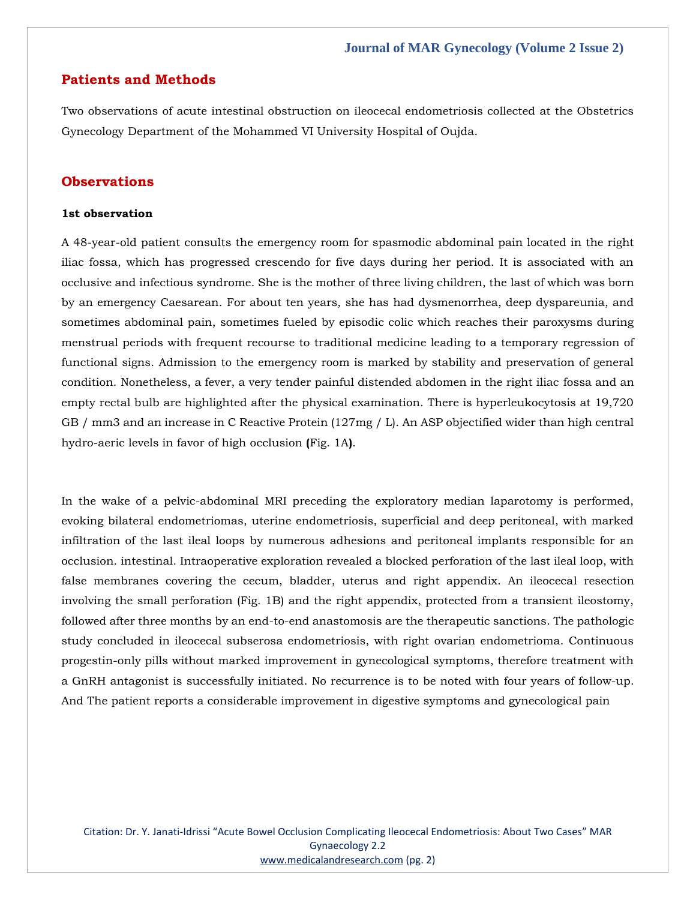### **Patients and Methods**

Two observations of acute intestinal obstruction on ileocecal endometriosis collected at the Obstetrics Gynecology Department of the Mohammed VI University Hospital of Oujda.

# **Observations**

#### **1st observation**

A 48-year-old patient consults the emergency room for spasmodic abdominal pain located in the right iliac fossa, which has progressed crescendo for five days during her period. It is associated with an occlusive and infectious syndrome. She is the mother of three living children, the last of which was born by an emergency Caesarean. For about ten years, she has had dysmenorrhea, deep dyspareunia, and sometimes abdominal pain, sometimes fueled by episodic colic which reaches their paroxysms during menstrual periods with frequent recourse to traditional medicine leading to a temporary regression of functional signs. Admission to the emergency room is marked by stability and preservation of general condition. Nonetheless, a fever, a very tender painful distended abdomen in the right iliac fossa and an empty rectal bulb are highlighted after the physical examination. There is hyperleukocytosis at 19,720 GB / mm3 and an increase in C Reactive Protein (127mg / L). An ASP objectified wider than high central hydro-aeric levels in favor of high occlusion **(**Fig. 1A**)**.

In the wake of a pelvic-abdominal MRI preceding the exploratory median laparotomy is performed, evoking bilateral endometriomas, uterine endometriosis, superficial and deep peritoneal, with marked infiltration of the last ileal loops by numerous adhesions and peritoneal implants responsible for an occlusion. intestinal. Intraoperative exploration revealed a blocked perforation of the last ileal loop, with false membranes covering the cecum, bladder, uterus and right appendix. An ileocecal resection involving the small perforation (Fig. 1B) and the right appendix, protected from a transient ileostomy, followed after three months by an end-to-end anastomosis are the therapeutic sanctions. The pathologic study concluded in ileocecal subserosa endometriosis, with right ovarian endometrioma. Continuous progestin-only pills without marked improvement in gynecological symptoms, therefore treatment with a GnRH antagonist is successfully initiated. No recurrence is to be noted with four years of follow-up. And The patient reports a considerable improvement in digestive symptoms and gynecological pain

Citation: Dr. Y. Janati-Idrissi "Acute Bowel Occlusion Complicating Ileocecal Endometriosis: About Two Cases" MAR Gynaecology 2.2 [www.medicalandresearch.com](http://www.medicalandresearch.com/) (pg. 2)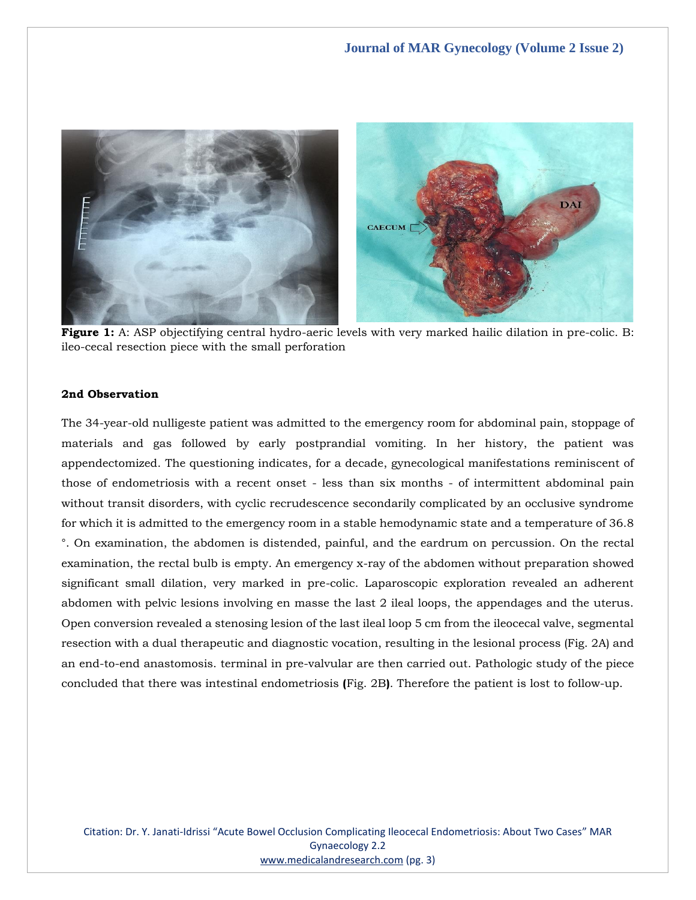

**Figure 1:** A: ASP objectifying central hydro-aeric levels with very marked hailic dilation in pre-colic. B: ileo-cecal resection piece with the small perforation

#### **2nd Observation**

The 34-year-old nulligeste patient was admitted to the emergency room for abdominal pain, stoppage of materials and gas followed by early postprandial vomiting. In her history, the patient was appendectomized. The questioning indicates, for a decade, gynecological manifestations reminiscent of those of endometriosis with a recent onset - less than six months - of intermittent abdominal pain without transit disorders, with cyclic recrudescence secondarily complicated by an occlusive syndrome for which it is admitted to the emergency room in a stable hemodynamic state and a temperature of 36.8 °. On examination, the abdomen is distended, painful, and the eardrum on percussion. On the rectal examination, the rectal bulb is empty. An emergency x-ray of the abdomen without preparation showed significant small dilation, very marked in pre-colic. Laparoscopic exploration revealed an adherent abdomen with pelvic lesions involving en masse the last 2 ileal loops, the appendages and the uterus. Open conversion revealed a stenosing lesion of the last ileal loop 5 cm from the ileocecal valve, segmental resection with a dual therapeutic and diagnostic vocation, resulting in the lesional process (Fig. 2A) and an end-to-end anastomosis. terminal in pre-valvular are then carried out. Pathologic study of the piece concluded that there was intestinal endometriosis **(**Fig. 2B**)**. Therefore the patient is lost to follow-up.

Citation: Dr. Y. Janati-Idrissi "Acute Bowel Occlusion Complicating Ileocecal Endometriosis: About Two Cases" MAR Gynaecology 2.2 [www.medicalandresearch.com](http://www.medicalandresearch.com/) (pg. 3)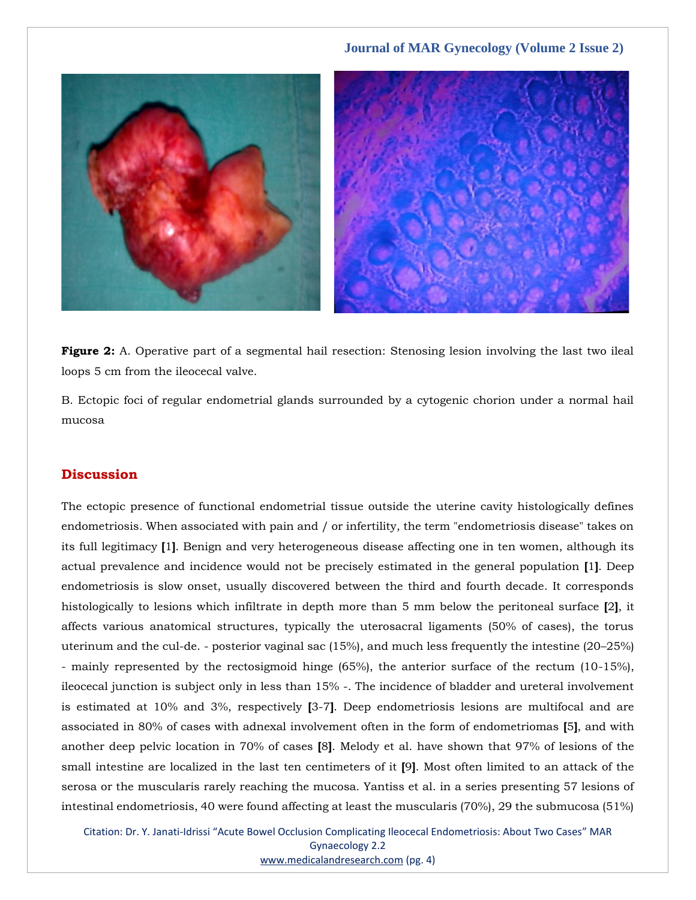

**Figure 2:** A. Operative part of a segmental hail resection: Stenosing lesion involving the last two ileal loops 5 cm from the ileocecal valve.

B. Ectopic foci of regular endometrial glands surrounded by a cytogenic chorion under a normal hail mucosa

# **Discussion**

The ectopic presence of functional endometrial tissue outside the uterine cavity histologically defines endometriosis. When associated with pain and / or infertility, the term "endometriosis disease" takes on its full legitimacy **[**1**]**. Benign and very heterogeneous disease affecting one in ten women, although its actual prevalence and incidence would not be precisely estimated in the general population **[**1**]**. Deep endometriosis is slow onset, usually discovered between the third and fourth decade. It corresponds histologically to lesions which infiltrate in depth more than 5 mm below the peritoneal surface **[**2**]**, it affects various anatomical structures, typically the uterosacral ligaments (50% of cases), the torus uterinum and the cul-de. - posterior vaginal sac (15%), and much less frequently the intestine (20–25%) - mainly represented by the rectosigmoid hinge (65%), the anterior surface of the rectum (10-15%), ileocecal junction is subject only in less than 15% -. The incidence of bladder and ureteral involvement is estimated at 10% and 3%, respectively **[**3-7**]**. Deep endometriosis lesions are multifocal and are associated in 80% of cases with adnexal involvement often in the form of endometriomas **[**5**]**, and with another deep pelvic location in 70% of cases **[**8**]**. Melody et al. have shown that 97% of lesions of the small intestine are localized in the last ten centimeters of it **[**9**]**. Most often limited to an attack of the serosa or the muscularis rarely reaching the mucosa. Yantiss et al. in a series presenting 57 lesions of intestinal endometriosis, 40 were found affecting at least the muscularis (70%), 29 the submucosa (51%)

Citation: Dr. Y. Janati-Idrissi "Acute Bowel Occlusion Complicating Ileocecal Endometriosis: About Two Cases" MAR Gynaecology 2.2 [www.medicalandresearch.com](http://www.medicalandresearch.com/) (pg. 4)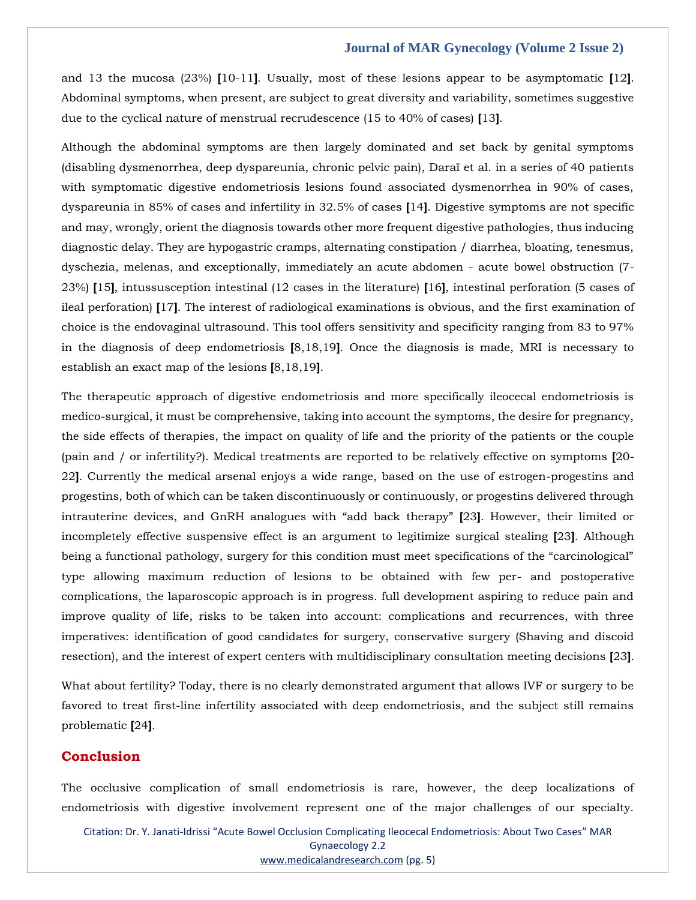#### **Journal of MAR Gynecology (Volume 2 Issue 2)**

and 13 the mucosa (23%) **[**10-11**]**. Usually, most of these lesions appear to be asymptomatic **[**12**]**. Abdominal symptoms, when present, are subject to great diversity and variability, sometimes suggestive due to the cyclical nature of menstrual recrudescence (15 to 40% of cases) **[**13**]**.

Although the abdominal symptoms are then largely dominated and set back by genital symptoms (disabling dysmenorrhea, deep dyspareunia, chronic pelvic pain), Daraï et al. in a series of 40 patients with symptomatic digestive endometriosis lesions found associated dysmenorrhea in 90% of cases, dyspareunia in 85% of cases and infertility in 32.5% of cases **[**14**]**. Digestive symptoms are not specific and may, wrongly, orient the diagnosis towards other more frequent digestive pathologies, thus inducing diagnostic delay. They are hypogastric cramps, alternating constipation / diarrhea, bloating, tenesmus, dyschezia, melenas, and exceptionally, immediately an acute abdomen - acute bowel obstruction (7- 23%) **[**15**]**, intussusception intestinal (12 cases in the literature) **[**16**]**, intestinal perforation (5 cases of ileal perforation) **[**17**]**. The interest of radiological examinations is obvious, and the first examination of choice is the endovaginal ultrasound. This tool offers sensitivity and specificity ranging from 83 to 97% in the diagnosis of deep endometriosis **[**8,18,19**]**. Once the diagnosis is made, MRI is necessary to establish an exact map of the lesions **[**8,18,19**]**.

The therapeutic approach of digestive endometriosis and more specifically ileocecal endometriosis is medico-surgical, it must be comprehensive, taking into account the symptoms, the desire for pregnancy, the side effects of therapies, the impact on quality of life and the priority of the patients or the couple (pain and / or infertility?). Medical treatments are reported to be relatively effective on symptoms **[**20- 22**]**. Currently the medical arsenal enjoys a wide range, based on the use of estrogen-progestins and progestins, both of which can be taken discontinuously or continuously, or progestins delivered through intrauterine devices, and GnRH analogues with "add back therapy" **[**23**]**. However, their limited or incompletely effective suspensive effect is an argument to legitimize surgical stealing **[**23**]**. Although being a functional pathology, surgery for this condition must meet specifications of the "carcinological" type allowing maximum reduction of lesions to be obtained with few per- and postoperative complications, the laparoscopic approach is in progress. full development aspiring to reduce pain and improve quality of life, risks to be taken into account: complications and recurrences, with three imperatives: identification of good candidates for surgery, conservative surgery (Shaving and discoid resection), and the interest of expert centers with multidisciplinary consultation meeting decisions **[**23**]**.

What about fertility? Today, there is no clearly demonstrated argument that allows IVF or surgery to be favored to treat first-line infertility associated with deep endometriosis, and the subject still remains problematic **[**24**]**.

### **Conclusion**

The occlusive complication of small endometriosis is rare, however, the deep localizations of endometriosis with digestive involvement represent one of the major challenges of our specialty.

Citation: Dr. Y. Janati-Idrissi "Acute Bowel Occlusion Complicating Ileocecal Endometriosis: About Two Cases" MAR Gynaecology 2.2 [www.medicalandresearch.com](http://www.medicalandresearch.com/) (pg. 5)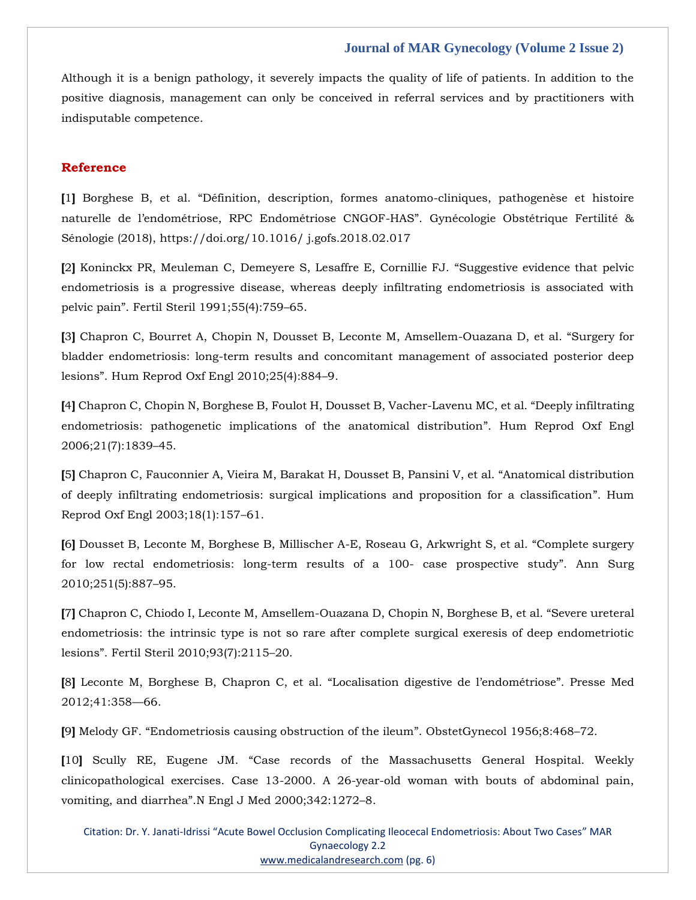#### **Journal of MAR Gynecology (Volume 2 Issue 2)**

Although it is a benign pathology, it severely impacts the quality of life of patients. In addition to the positive diagnosis, management can only be conceived in referral services and by practitioners with indisputable competence.

#### **Reference**

**[**1**]** Borghese B, et al. "Définition, description, formes anatomo-cliniques, pathogenèse et histoire naturelle de l'endométriose, RPC Endométriose CNGOF-HAS". Gynécologie Obstétrique Fertilité & Sénologie (2018), https://doi.org/10.1016/ j.gofs.2018.02.017

**[**2**]** [Koninckx PR, Meuleman C, Demeyere S, Lesaffre E, Cornillie FJ.](https://www.google.com/search?q=%E2%80%9CSuggestive+evidence+that+pelvic+endometriosis+is+a+progressive+disease%2C+whereas+deeply+infiltrating+endometriosis+is+associated+with+pelvic+pain%E2%80%9D&sxsrf=AOaemvJJxhz3B8UcP5QDS2PKuKDO99Rn2A%3A1637996248437&ei=2NahYa-LGvLYz7sPhpuv-A0&ved=0ahUKEwiv15_E-7f0AhVy7HMBHYbNC98Q4dUDCA4&uact=5&oq=%E2%80%9CSuggestive+evidence+that+pelvic+endometriosis+is+a+progressive+disease%2C+whereas+deeply+infiltrating+endometriosis+is+associated+with+pelvic+pain%E2%80%9D&gs_lcp=Cgdnd3Mtd2l6EANKBAhBGABQugZYugZg3AxoAHAAeACAAQCIAQCSAQCYAQCgAQKgAQHAAQE&sclient=gws-wiz) "Suggestive evidence that pelvic [endometriosis is a progressive disease, whereas deeply infiltrating endometriosis is associated with](https://www.google.com/search?q=%E2%80%9CSuggestive+evidence+that+pelvic+endometriosis+is+a+progressive+disease%2C+whereas+deeply+infiltrating+endometriosis+is+associated+with+pelvic+pain%E2%80%9D&sxsrf=AOaemvJJxhz3B8UcP5QDS2PKuKDO99Rn2A%3A1637996248437&ei=2NahYa-LGvLYz7sPhpuv-A0&ved=0ahUKEwiv15_E-7f0AhVy7HMBHYbNC98Q4dUDCA4&uact=5&oq=%E2%80%9CSuggestive+evidence+that+pelvic+endometriosis+is+a+progressive+disease%2C+whereas+deeply+infiltrating+endometriosis+is+associated+with+pelvic+pain%E2%80%9D&gs_lcp=Cgdnd3Mtd2l6EANKBAhBGABQugZYugZg3AxoAHAAeACAAQCIAQCSAQCYAQCgAQKgAQHAAQE&sclient=gws-wiz)  pelvic pain"[. Fertil Steril 1991;55\(4\):759](https://www.google.com/search?q=%E2%80%9CSuggestive+evidence+that+pelvic+endometriosis+is+a+progressive+disease%2C+whereas+deeply+infiltrating+endometriosis+is+associated+with+pelvic+pain%E2%80%9D&sxsrf=AOaemvJJxhz3B8UcP5QDS2PKuKDO99Rn2A%3A1637996248437&ei=2NahYa-LGvLYz7sPhpuv-A0&ved=0ahUKEwiv15_E-7f0AhVy7HMBHYbNC98Q4dUDCA4&uact=5&oq=%E2%80%9CSuggestive+evidence+that+pelvic+endometriosis+is+a+progressive+disease%2C+whereas+deeply+infiltrating+endometriosis+is+associated+with+pelvic+pain%E2%80%9D&gs_lcp=Cgdnd3Mtd2l6EANKBAhBGABQugZYugZg3AxoAHAAeACAAQCIAQCSAQCYAQCgAQKgAQHAAQE&sclient=gws-wiz)–65.

**[**3**]** [Chapron C, Bourret A, Chopin N, Dousset B, Leconte M, Amsellem-Ouazana D, et al.](https://www.google.com/search?q=%E2%80%9CSurgery+for+bladder+endometriosis%3A+long-term+results+and+concomitant+management+of+associated+posterior+deep+lesions%E2%80%9D.+&sxsrf=AOaemvIretDgcZ3VxacmLAD8mXjGWAWuhQ%3A1637996193025&ei=odahYexuuMPctQ_mkbTABw&ved=0ahUKEwisw-mp-7f0AhW4IbcAHeYIDXgQ4dUDCA4&uact=5&oq=%E2%80%9CSurgery+for+bladder+endometriosis%3A+long-term+results+and+concomitant+management+of+associated+posterior+deep+lesions%E2%80%9D.+&gs_lcp=Cgdnd3Mtd2l6EAMyBwgAEEcQsAMyBwgAEEcQsAMyBwgAEEcQsAMyBwgAEEcQsAMyBwgAEEcQsAMyBwgAEEcQsAMyBwgAEEcQsAMyBwgAEEcQsANKBAhBGABQzQhYzQhg7g5oA3ACeACAAQCIAQCSAQCYAQCgAQKgAQHIAQjAAQE&sclient=gws-wiz) "Surgery for [bladder endometriosis: long-term results and concomitant management of associated posterior deep](https://www.google.com/search?q=%E2%80%9CSurgery+for+bladder+endometriosis%3A+long-term+results+and+concomitant+management+of+associated+posterior+deep+lesions%E2%80%9D.+&sxsrf=AOaemvIretDgcZ3VxacmLAD8mXjGWAWuhQ%3A1637996193025&ei=odahYexuuMPctQ_mkbTABw&ved=0ahUKEwisw-mp-7f0AhW4IbcAHeYIDXgQ4dUDCA4&uact=5&oq=%E2%80%9CSurgery+for+bladder+endometriosis%3A+long-term+results+and+concomitant+management+of+associated+posterior+deep+lesions%E2%80%9D.+&gs_lcp=Cgdnd3Mtd2l6EAMyBwgAEEcQsAMyBwgAEEcQsAMyBwgAEEcQsAMyBwgAEEcQsAMyBwgAEEcQsAMyBwgAEEcQsAMyBwgAEEcQsAMyBwgAEEcQsANKBAhBGABQzQhYzQhg7g5oA3ACeACAAQCIAQCSAQCYAQCgAQKgAQHIAQjAAQE&sclient=gws-wiz)  lesions"[. Hum Reprod Oxf Engl 2010;25\(4\):884](https://www.google.com/search?q=%E2%80%9CSurgery+for+bladder+endometriosis%3A+long-term+results+and+concomitant+management+of+associated+posterior+deep+lesions%E2%80%9D.+&sxsrf=AOaemvIretDgcZ3VxacmLAD8mXjGWAWuhQ%3A1637996193025&ei=odahYexuuMPctQ_mkbTABw&ved=0ahUKEwisw-mp-7f0AhW4IbcAHeYIDXgQ4dUDCA4&uact=5&oq=%E2%80%9CSurgery+for+bladder+endometriosis%3A+long-term+results+and+concomitant+management+of+associated+posterior+deep+lesions%E2%80%9D.+&gs_lcp=Cgdnd3Mtd2l6EAMyBwgAEEcQsAMyBwgAEEcQsAMyBwgAEEcQsAMyBwgAEEcQsAMyBwgAEEcQsAMyBwgAEEcQsAMyBwgAEEcQsAMyBwgAEEcQsANKBAhBGABQzQhYzQhg7g5oA3ACeACAAQCIAQCSAQCYAQCgAQKgAQHIAQjAAQE&sclient=gws-wiz)–9.

**[**4**]** [Chapron C, Chopin N, Borghese B, Foulot H, Dousset B, Vacher-Lavenu MC, et al.](https://www.google.com/search?q=%E2%80%9CDeeply+infiltrating+endometriosis%3A+pathogenetic+implications+of+the+anatomical+distribution%E2%80%9D&sxsrf=AOaemvKIIoxz4KngcyVMGdyUJjlAWsh5qg%3A1637996171306&ei=i9ahYb_oEZvD3LUP_daRoAo&ved=0ahUKEwj_2buf-7f0AhWbIbcAHX1rBKQQ4dUDCA4&uact=5&oq=%E2%80%9CDeeply+infiltrating+endometriosis%3A+pathogenetic+implications+of+the+anatomical+distribution%E2%80%9D&gs_lcp=Cgdnd3Mtd2l6EAMyBggAEBYQHkoECEEYAFDbB1jbB2DNDmgAcAB4AoABdIgBdJIBAzAuMZgBAKABAqABAcABAQ&sclient=gws-wiz) "Deeply infiltrating [endometriosis: pathogenetic implications of the anatomical distribution](https://www.google.com/search?q=%E2%80%9CDeeply+infiltrating+endometriosis%3A+pathogenetic+implications+of+the+anatomical+distribution%E2%80%9D&sxsrf=AOaemvKIIoxz4KngcyVMGdyUJjlAWsh5qg%3A1637996171306&ei=i9ahYb_oEZvD3LUP_daRoAo&ved=0ahUKEwj_2buf-7f0AhWbIbcAHX1rBKQQ4dUDCA4&uact=5&oq=%E2%80%9CDeeply+infiltrating+endometriosis%3A+pathogenetic+implications+of+the+anatomical+distribution%E2%80%9D&gs_lcp=Cgdnd3Mtd2l6EAMyBggAEBYQHkoECEEYAFDbB1jbB2DNDmgAcAB4AoABdIgBdJIBAzAuMZgBAKABAqABAcABAQ&sclient=gws-wiz)". Hum Reprod Oxf Engl [2006;21\(7\):1839](https://www.google.com/search?q=%E2%80%9CDeeply+infiltrating+endometriosis%3A+pathogenetic+implications+of+the+anatomical+distribution%E2%80%9D&sxsrf=AOaemvKIIoxz4KngcyVMGdyUJjlAWsh5qg%3A1637996171306&ei=i9ahYb_oEZvD3LUP_daRoAo&ved=0ahUKEwj_2buf-7f0AhWbIbcAHX1rBKQQ4dUDCA4&uact=5&oq=%E2%80%9CDeeply+infiltrating+endometriosis%3A+pathogenetic+implications+of+the+anatomical+distribution%E2%80%9D&gs_lcp=Cgdnd3Mtd2l6EAMyBggAEBYQHkoECEEYAFDbB1jbB2DNDmgAcAB4AoABdIgBdJIBAzAuMZgBAKABAqABAcABAQ&sclient=gws-wiz)–45.

**[**5**]** [Chapron C, Fauconnier A, Vieira M, Barakat H, Dousset B, Pansini V, et al.](https://www.google.com/search?q=%E2%80%9CAnatomical+distribution+of+deeply+infiltrating+endometriosis%3A+surgical+implications+and+proposition+for+a+classification%E2%80%9D&sxsrf=AOaemvI8zZrN4zKa10YXl-mLT8ISAtF47A%3A1637996150318&ei=dtahYYX_EsfSz7sP7Ke_0As&ved=0ahUKEwiFkruV-7f0AhVH6XMBHezTD7oQ4dUDCA4&uact=5&oq=%E2%80%9CAnatomical+distribution+of+deeply+infiltrating+endometriosis%3A+surgical+implications+and+proposition+for+a+classification%E2%80%9D&gs_lcp=Cgdnd3Mtd2l6EANKBAhBGABQmAZYmAZg-gtoAHAAeACAAQCIAQCSAQCYAQCgAQKgAQHAAQE&sclient=gws-wiz) "Anatomical distribution [of deeply infiltrating endometriosis: surgical implications and proposition for a classification](https://www.google.com/search?q=%E2%80%9CAnatomical+distribution+of+deeply+infiltrating+endometriosis%3A+surgical+implications+and+proposition+for+a+classification%E2%80%9D&sxsrf=AOaemvI8zZrN4zKa10YXl-mLT8ISAtF47A%3A1637996150318&ei=dtahYYX_EsfSz7sP7Ke_0As&ved=0ahUKEwiFkruV-7f0AhVH6XMBHezTD7oQ4dUDCA4&uact=5&oq=%E2%80%9CAnatomical+distribution+of+deeply+infiltrating+endometriosis%3A+surgical+implications+and+proposition+for+a+classification%E2%80%9D&gs_lcp=Cgdnd3Mtd2l6EANKBAhBGABQmAZYmAZg-gtoAHAAeACAAQCIAQCSAQCYAQCgAQKgAQHAAQE&sclient=gws-wiz)". Hum [Reprod Oxf Engl 2003;18\(1\):157](https://www.google.com/search?q=%E2%80%9CAnatomical+distribution+of+deeply+infiltrating+endometriosis%3A+surgical+implications+and+proposition+for+a+classification%E2%80%9D&sxsrf=AOaemvI8zZrN4zKa10YXl-mLT8ISAtF47A%3A1637996150318&ei=dtahYYX_EsfSz7sP7Ke_0As&ved=0ahUKEwiFkruV-7f0AhVH6XMBHezTD7oQ4dUDCA4&uact=5&oq=%E2%80%9CAnatomical+distribution+of+deeply+infiltrating+endometriosis%3A+surgical+implications+and+proposition+for+a+classification%E2%80%9D&gs_lcp=Cgdnd3Mtd2l6EANKBAhBGABQmAZYmAZg-gtoAHAAeACAAQCIAQCSAQCYAQCgAQKgAQHAAQE&sclient=gws-wiz)–61.

**[**6**]** [Dousset B, Leconte M, Borghese B, Millischer A-E, Roseau G, Arkwright S, et al.](https://www.google.com/search?q=.+%E2%80%9CComplete+surgery+for+low+rectal+endometriosis%3A+long-term+results+of+a+100-+case+prospective+study%E2%80%9D&sxsrf=AOaemvKGX6hsdEEXxaVFxDT-_IpF_Por_w%3A1637996129108&ei=YdahYZqSBr-F4t4Pheu_0As&ved=0ahUKEwjaxqyL-7f0AhW_gtgFHYX1D7oQ4dUDCA4&uact=5&oq=.+%E2%80%9CComplete+surgery+for+low+rectal+endometriosis%3A+long-term+results+of+a+100-+case+prospective+study%E2%80%9D&gs_lcp=Cgdnd3Mtd2l6EANKBAhBGABQ2gZY2gZgugxoAHAAeACAAQCIAQCSAQCYAQCgAQKgAQHAAQE&sclient=gws-wiz) "Complete surgery [for low rectal endometriosis: long-term results of a 100-](https://www.google.com/search?q=.+%E2%80%9CComplete+surgery+for+low+rectal+endometriosis%3A+long-term+results+of+a+100-+case+prospective+study%E2%80%9D&sxsrf=AOaemvKGX6hsdEEXxaVFxDT-_IpF_Por_w%3A1637996129108&ei=YdahYZqSBr-F4t4Pheu_0As&ved=0ahUKEwjaxqyL-7f0AhW_gtgFHYX1D7oQ4dUDCA4&uact=5&oq=.+%E2%80%9CComplete+surgery+for+low+rectal+endometriosis%3A+long-term+results+of+a+100-+case+prospective+study%E2%80%9D&gs_lcp=Cgdnd3Mtd2l6EANKBAhBGABQ2gZY2gZgugxoAHAAeACAAQCIAQCSAQCYAQCgAQKgAQHAAQE&sclient=gws-wiz) case prospective study". Ann Surg [2010;251\(5\):887](https://www.google.com/search?q=.+%E2%80%9CComplete+surgery+for+low+rectal+endometriosis%3A+long-term+results+of+a+100-+case+prospective+study%E2%80%9D&sxsrf=AOaemvKGX6hsdEEXxaVFxDT-_IpF_Por_w%3A1637996129108&ei=YdahYZqSBr-F4t4Pheu_0As&ved=0ahUKEwjaxqyL-7f0AhW_gtgFHYX1D7oQ4dUDCA4&uact=5&oq=.+%E2%80%9CComplete+surgery+for+low+rectal+endometriosis%3A+long-term+results+of+a+100-+case+prospective+study%E2%80%9D&gs_lcp=Cgdnd3Mtd2l6EANKBAhBGABQ2gZY2gZgugxoAHAAeACAAQCIAQCSAQCYAQCgAQKgAQHAAQE&sclient=gws-wiz)–95.

**[**7**]** [Chapron C, Chiodo I, Leconte M, Amsellem-Ouazana D, Chopin N, Borghese B, et al.](https://www.google.com/search?q=%E2%80%9CSevere+ureteral+endometriosis%3A+the+intrinsic+type+is+not+so+rare+after+complete+surgical+exeresis+of+deep+endometriotic+lesions%E2%80%9D&sxsrf=AOaemvK7dR2XQdj7O3s-Dihl-kuoX5tUPw%3A1637996105561&ei=SdahYffQIYWb4t4PqKGs-A8&ved=0ahUKEwi3mY-A-7f0AhWFjdgFHagQC_8Q4dUDCA4&uact=5&oq=%E2%80%9CSevere+ureteral+endometriosis%3A+the+intrinsic+type+is+not+so+rare+after+complete+surgical+exeresis+of+deep+endometriotic+lesions%E2%80%9D&gs_lcp=Cgdnd3Mtd2l6EAMyBwgAEEcQsAMyBwgAEEcQsAMyBwgAEEcQsANKBAhBGABQ6gZY6gZg3Q9oA3ACeACAAQCIAQCSAQCYAQCgAQKgAQHIAQPAAQE&sclient=gws-wiz) "Severe ureteral [endometriosis: the intrinsic type is not so rare after complete surgical exeresis of deep endometriotic](https://www.google.com/search?q=%E2%80%9CSevere+ureteral+endometriosis%3A+the+intrinsic+type+is+not+so+rare+after+complete+surgical+exeresis+of+deep+endometriotic+lesions%E2%80%9D&sxsrf=AOaemvK7dR2XQdj7O3s-Dihl-kuoX5tUPw%3A1637996105561&ei=SdahYffQIYWb4t4PqKGs-A8&ved=0ahUKEwi3mY-A-7f0AhWFjdgFHagQC_8Q4dUDCA4&uact=5&oq=%E2%80%9CSevere+ureteral+endometriosis%3A+the+intrinsic+type+is+not+so+rare+after+complete+surgical+exeresis+of+deep+endometriotic+lesions%E2%80%9D&gs_lcp=Cgdnd3Mtd2l6EAMyBwgAEEcQsAMyBwgAEEcQsAMyBwgAEEcQsANKBAhBGABQ6gZY6gZg3Q9oA3ACeACAAQCIAQCSAQCYAQCgAQKgAQHIAQPAAQE&sclient=gws-wiz)  lesions"[. Fertil Steril 2010;93\(7\):2115](https://www.google.com/search?q=%E2%80%9CSevere+ureteral+endometriosis%3A+the+intrinsic+type+is+not+so+rare+after+complete+surgical+exeresis+of+deep+endometriotic+lesions%E2%80%9D&sxsrf=AOaemvK7dR2XQdj7O3s-Dihl-kuoX5tUPw%3A1637996105561&ei=SdahYffQIYWb4t4PqKGs-A8&ved=0ahUKEwi3mY-A-7f0AhWFjdgFHagQC_8Q4dUDCA4&uact=5&oq=%E2%80%9CSevere+ureteral+endometriosis%3A+the+intrinsic+type+is+not+so+rare+after+complete+surgical+exeresis+of+deep+endometriotic+lesions%E2%80%9D&gs_lcp=Cgdnd3Mtd2l6EAMyBwgAEEcQsAMyBwgAEEcQsAMyBwgAEEcQsANKBAhBGABQ6gZY6gZg3Q9oA3ACeACAAQCIAQCSAQCYAQCgAQKgAQHIAQPAAQE&sclient=gws-wiz)–20.

**[**8**]** [Leconte M, Borghese B, Chapron C, et al.](https://www.google.com/search?q=%E2%80%9CLocalisation+digestive+de+l%E2%80%99endom%C3%A9triose%E2%80%9D&sxsrf=AOaemvKf3UkCFyUM_P_ziWO7U91VkqRCsw%3A1637996085248&ei=NdahYcrJDpnMz7sPrtWoyAw&ved=0ahUKEwiKuLf2-rf0AhUZ5nMBHa4qCskQ4dUDCA4&uact=5&oq=%E2%80%9CLocalisation+digestive+de+l%E2%80%99endom%C3%A9triose%E2%80%9D&gs_lcp=Cgdnd3Mtd2l6EAM6BwgAEEcQsANKBAhBGABQpgVYpgVg3AtoAnACeACAAbwBiAG8AZIBAzAuMZgBAKABAqABAcgBCMABAQ&sclient=gws-wiz) "Localisation digestive de l'endométriose". Presse Med [2012;41:358](https://www.google.com/search?q=%E2%80%9CLocalisation+digestive+de+l%E2%80%99endom%C3%A9triose%E2%80%9D&sxsrf=AOaemvKf3UkCFyUM_P_ziWO7U91VkqRCsw%3A1637996085248&ei=NdahYcrJDpnMz7sPrtWoyAw&ved=0ahUKEwiKuLf2-rf0AhUZ5nMBHa4qCskQ4dUDCA4&uact=5&oq=%E2%80%9CLocalisation+digestive+de+l%E2%80%99endom%C3%A9triose%E2%80%9D&gs_lcp=Cgdnd3Mtd2l6EAM6BwgAEEcQsANKBAhBGABQpgVYpgVg3AtoAnACeACAAbwBiAG8AZIBAzAuMZgBAKABAqABAcgBCMABAQ&sclient=gws-wiz)—66.

**[**9**]** Melody GF. "[Endometriosis causing obstruction of the ileum](https://www.google.com/search?q=%E2%80%9CEndometriosis+causing+obstruction+of+the+ileum%E2%80%9D.+&sxsrf=AOaemvK79uysvs_xdvaxOwy2IaOrK6RiMA%3A1637996062495&ei=HtahYcvlHYbYz7sPwdmC-Ao&ved=0ahUKEwjL7Mrr-rf0AhUG7HMBHcGsAK8Q4dUDCA4&uact=5&oq=%E2%80%9CEndometriosis+causing+obstruction+of+the+ileum%E2%80%9D.+&gs_lcp=Cgdnd3Mtd2l6EANKBAhBGABQnQZYnQZgww1oAHAAeAOAAbkBiAG5AZIBAzAuMZgBAKABAqABAcABAQ&sclient=gws-wiz)". ObstetGynecol 1956;8:468–72.

**[**10**]** Scully RE, Eugene JM. "[Case records of the Massachusetts General Hospital. Weekly](https://www.google.com/search?q=%E2%80%9CCase+records+of+the+Massachusetts+General+Hospital.+Weekly+clinicopathological+exercises.+Case+13-2000.+A+26-year-old+woman+with+bouts+of+abdominal+pain%2C+vomiting%2C+and+diarrhea%E2%80%9D.&sxsrf=AOaemvKEAwfQI3b_aWDhcAABOby5gsi6-w%3A1637996034558&ei=AtahYaTMIdvA3LUPgfuQ0AY&ved=0ahUKEwik1aHe-rf0AhVbILcAHYE9BGoQ4dUDCA4&uact=5&oq=%E2%80%9CCase+records+of+the+Massachusetts+General+Hospital.+Weekly+clinicopathological+exercises.+Case+13-2000.+A+26-year-old+woman+with+bouts+of+abdominal+pain%2C+vomiting%2C+and+diarrhea%E2%80%9D.&gs_lcp=Cgdnd3Mtd2l6EANKBAhBGABQ2AhY2Ahg-w5oAHAAeACAAQCIAQCSAQCYAQCgAQKgAQHAAQE&sclient=gws-wiz)  [clinicopathological exercises. Case 13-2000. A 26-year-old woman with bouts of abdominal pain,](https://www.google.com/search?q=%E2%80%9CCase+records+of+the+Massachusetts+General+Hospital.+Weekly+clinicopathological+exercises.+Case+13-2000.+A+26-year-old+woman+with+bouts+of+abdominal+pain%2C+vomiting%2C+and+diarrhea%E2%80%9D.&sxsrf=AOaemvKEAwfQI3b_aWDhcAABOby5gsi6-w%3A1637996034558&ei=AtahYaTMIdvA3LUPgfuQ0AY&ved=0ahUKEwik1aHe-rf0AhVbILcAHYE9BGoQ4dUDCA4&uact=5&oq=%E2%80%9CCase+records+of+the+Massachusetts+General+Hospital.+Weekly+clinicopathological+exercises.+Case+13-2000.+A+26-year-old+woman+with+bouts+of+abdominal+pain%2C+vomiting%2C+and+diarrhea%E2%80%9D.&gs_lcp=Cgdnd3Mtd2l6EANKBAhBGABQ2AhY2Ahg-w5oAHAAeACAAQCIAQCSAQCYAQCgAQKgAQHAAQE&sclient=gws-wiz)  vomiting, and diarrhea"[.N Engl J Med 2000;342:1272](https://www.google.com/search?q=%E2%80%9CCase+records+of+the+Massachusetts+General+Hospital.+Weekly+clinicopathological+exercises.+Case+13-2000.+A+26-year-old+woman+with+bouts+of+abdominal+pain%2C+vomiting%2C+and+diarrhea%E2%80%9D.&sxsrf=AOaemvKEAwfQI3b_aWDhcAABOby5gsi6-w%3A1637996034558&ei=AtahYaTMIdvA3LUPgfuQ0AY&ved=0ahUKEwik1aHe-rf0AhVbILcAHYE9BGoQ4dUDCA4&uact=5&oq=%E2%80%9CCase+records+of+the+Massachusetts+General+Hospital.+Weekly+clinicopathological+exercises.+Case+13-2000.+A+26-year-old+woman+with+bouts+of+abdominal+pain%2C+vomiting%2C+and+diarrhea%E2%80%9D.&gs_lcp=Cgdnd3Mtd2l6EANKBAhBGABQ2AhY2Ahg-w5oAHAAeACAAQCIAQCSAQCYAQCgAQKgAQHAAQE&sclient=gws-wiz)–8.

Citation: Dr. Y. Janati-Idrissi "Acute Bowel Occlusion Complicating Ileocecal Endometriosis: About Two Cases" MAR Gynaecology 2.2 [www.medicalandresearch.com](http://www.medicalandresearch.com/) (pg. 6)